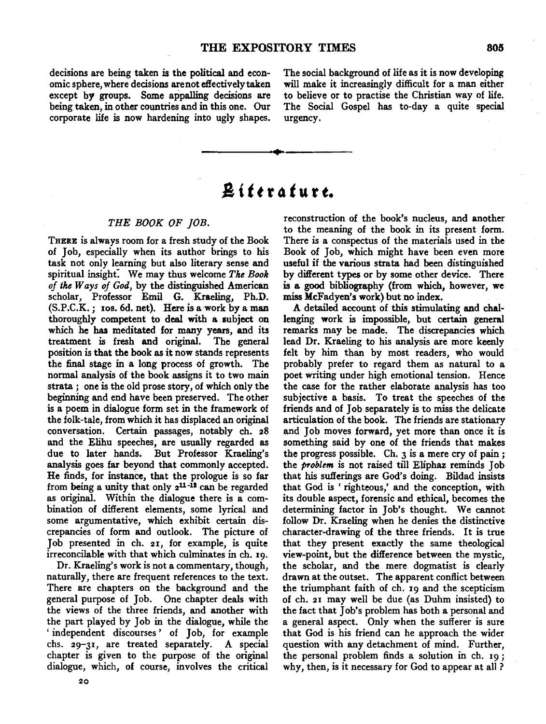decisions are being taken is the political and economic sphere, where decisions are not effectively taken except by groups. Some appalling decisions are being taken, in other countries and in this one. Our corporate life is now hardening into ugly shapes. The social background of life as it is now developing will make it increasingly difficult for a man either to believe or to practise the Christian way of life. The Social Gospel has to-day a quite special urgency.

# **A** *i t t* **r "** *t* **u r** *t.*

#### *THE BOOK OF JOB.*

THERE is always room for a fresh study of the Book of Job, especially when its author brings to his task not only learning but also literary sense and spiritual insight: We may thus welcome *The Book of the Ways of God,* by the distinguished American scholar, Professor Emil G. Kraeling, Ph.D. (S.P.C.K.; Ios. 6d. net). Here is a work by a man thoroughly competent to deal with a subject on which he has meditated for many years, and its treatment is fresh and original. The general position is that the book as it now stands represents the final stage in a long process of growth. The normal analysis of the book assigns it to two main strata; one is the old prose story, of which only the beginning and end have been preserved. The other is a poem in dialogue form set in the framework of the folk-tale, from which it has displaced an original conversation. Certain passages, notably eh. 28 and the Elihu speeches, are usually regarded as due to later hands. But Professor Kraeling's analysis goes far beyond that commonly accepted. He finds, for instance, that the prologue is so far from being a unity that only  $2^{11-i2}$  can be regarded as original. Within the dialogue there is a combination of different elements, some lyrical and some argumentative, which exhibit certain discrepancies of form and outlook. The picture of Job presented in eh. 21, for example, is quite irreconcilable with that which culminates in eh. 19.

Dr. Kraeling's work is not a commentary, though, naturally, there are frequent references to the text. There are chapters on the background and the general purpose of Job. One chapter deals with the views of the three friends, and another with the part played by Job in the dialogue, while the ' independent discourses ' of Job, for example chs. 29-31, are treated separately. A special chapter is given to the purpose of the original dialogue, which, of course, involves the critical reconstruction of the book's nucleus, and another to the meaning of the book in its present form. There is a conspectus of the materials used in the Book of Job, which might have been even more useful if the various strata had been distinguished by different types or by some other device. There is a good bibliography {from which, however, we miss McFadyen's work) but no index.

A detailed account of this stimulating and Challenging work is impossible, but certain general remarks may be made. The discrepancies which lead Dr. Kraeling to his analysis are more keenly felt by him than by most readers, who would probably prefer to regard them as natural to a poet writing under high emotional tension. Hence the case for the rather elaborate analysis has too subjective a basis. To treat the speeches of the friends and of Job separately is to miss the delicate articulation of the book. The friends are stationary and Job moves forward, yet more than once it is something said by one of the friends that makes the progress possible. Ch. 3 is a mere cry of pain *;*  the *problem* is not raised till Eliphaz reminds Job that his sufferings are God's doing. Bildad insists that God is ' righteous,' and the conception, with its double aspect, forensic and ethical, becomes the determining factor in Job's thought. We cannot follow Dr. Kraeling when he denies the distinctive character-drawing of the three friends. It is true that they present exactly the same theological view-point, but the difference between the mystic, the scholar, and the mere dogmatist is clearly drawn at the outset. The apparent conflict between the triumphant faith of eh. 19 and the scepticism of eh. 21 may well be due (as Duhm insisted) to the fact that Job's problem has both a personal and a general aspect. Only when the sufferer is sure that God is his friend can he approach the wider question with any detachment of mind. Further, the personal problem finds a solution in eh. 19 *;*  why, then, is it necessary for God to appear at all ?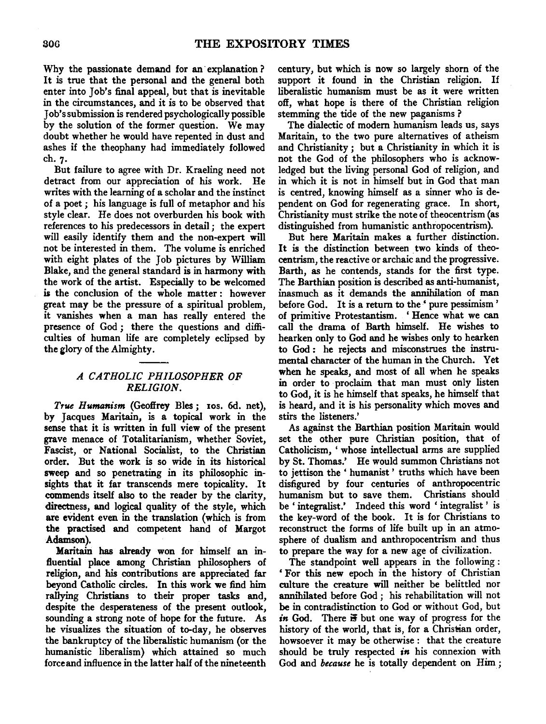Why the passionate demand for an· explanation ? It is true that the personal and the general both enter into Job's final appeal, but that is inevitable in the circumstances, and it is to be observed that Job's submission is rendered psychologically possible by the solution of the former question. We may doubt whether he would have repented in dust and ashes if the theophany had immediately followed eh. 7·

But failure to agree with Dr. Kraeling need not detract from our appreciation of his work. He writes with the learning of a scholar and the instinct of a poet ; his language is full of metaphor and his style clear. He does not overburden his book with references to his predecessors in detail ; the expert will easily identify them and the non-expert will not be interested in them. The volume is enriched with eight plates of the Job pictures by William Blake, and the general standard is in harmony with the work of the artist. Especially to be welcomed is the conclusion of the whole matter : however great may be the pressure of a spiritual problem, it vanishes when a man has really entered the presence of God ; there the questions and difficulties of human life are completely eclipsed by the glory of the Almighty.

## *A CATHOLIC PHILOSOPHER OF RELIGION.*

*True Humanism* (Geoffrey Bles; IOS. 6d. net), by Jacques Maritain, is a topical work in the sense that it is written in full view of the present grave menace of Totalitarianism, whether Soviet, Fascist, or National Socialist, to the Christian order. But the work is so wide in its historical sweep and so penetrating in its philosophic insights that it far transcends mere topicality. It commends itself also to the reader by the clarity, directness, and logical quality of the style, which are evident even in the translation (which is from the practised and competent hand of Margot Adamson).

Maritain has already won for himself an influential place among Christian philosophers of religion, and his contributions are appreciated far beyond Catholic circles. In this work we find him rallying Christians to their proper tasks and, despite the desperateness of the present outlook, sounding a strong note of hope for the future. As he visualizes the situation of to-day, he observes the bankruptcy of the liberalistic humanism (or the humanistic liberalism) which attained so much force and influence in the latter half of the nineteenth

century, but which is now so largely shorn of the support it found in the Christian religion. If liberalistic humanism must be as it were written off, what hope is there of the Christian religion stemming the tide of the new paganisms ?

The dialectic of modem humanism leads us, says Maritain, to the two pure alternatives of atheism and Christianity *;* but a Christianity in which it is not the God of the philosophers who is acknowledged but the living personal God of religion, and in which it is not in himself but in God that man is centred, knowing himself as a sinner who is dependent on God for regenerating grace. In short, Christianity must strike the note of theocentrism (as distinguished from humanistic anthropocentrism).

But here Maritain makes a further distinction. It is the distinction between two kinds of theocentrism, the reactive or archaic and the progressive. Barth, as he contends, stands for the first type. The Barthian position is described as anti-humanist, inasmuch as it demands the annihilation of man before God. It is a return to the ' pure pessimism ' of primitive Protestantism. ' Hence what we can call the drama of Barth himself. He wishes to hearken only to God and he wishes only to hearken to God : he rejects and misconstrues the instrumental character of the human in the Church. Yet when he speaks, and most of all when he speaks in order to proclaim that man must only listen to God, it is he himself that speaks, he himself that is heard, and it is his personality which moves and stirs the listeners.'

As against the Barthian position Maritain would set the other pure Christian position, that of Catholicism, ' whose intellectual arms are supplied by St. Thomas.' He would summon Christians not to jettison the' humanist' truths which have been disfigured by four centuries of anthropocentric humanism but to save them. Christians should be ' integralist.' Indeed this word ' integralist ' is the key-word of the book. It is for Christians to reconstruct the forms of life built up in an atmosphere of dualism and anthropocentrism and thus to prepare the way for a new age of civilization.

The standpoint well appears in the following : ' For this new epoch in the history of Christian culture the creature will neither be belittled nor annihilated before God ; his rehabilitation will not be in contradistinction to God or without God, but *in* God. There if but one way of progress for the history of the world, that is, for a Christian order, howsoever it may be otherwise: that the creature should be truly respected *in* his connexion with God and *because* he is totally dependent on Him ;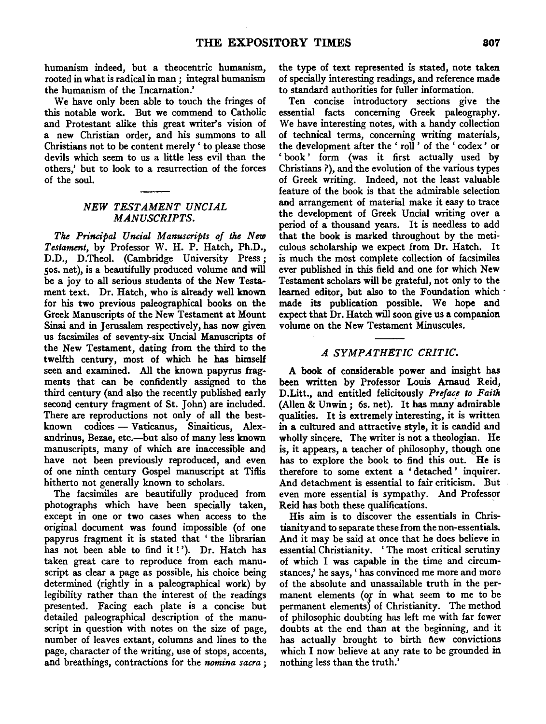humanism indeed, but a theocentric humanism, rooted in what is radical in man ; integral humanism the humanism of the Incarnation.'

We have only been able to touch the fringes of this notable work. But we commend to Catholic and Protestant alike this great writer's vision of a new Christian order, and his summons to all Christians not to be content merely ' to please those devils which seem to us a little less evil than the others,' but to look to a resurrection of the forces of the soul.

#### *NEW TESTAMENT UNCIAL MANUSCRIPTS.*

*The Principal Uncial Manuscripts of the New Testament,* by Professor W. H. P. Hatch, Ph.D., D.D., D.Theol. (Cambridge University Press ; sos. net), is a beautifully produced volume and will be a joy to all serious students of the New Testament text. Dr. Hatch, who is already well known for his two previous paleographical books on the Greek Manuscripts of the New Testament at Mount Sinai and in Jerusalem respectively, has now given us facsimiles of seventy-six Uncial Manuscripts of the New Testament, dating from the third to the twelfth century, most of which he has himself seen and examined. All the known papyrus fragments that can be confidently assigned to the third century (and also the recently published early second century fragment of St. John) are included. There are reproductions not only of all the bestknown codices — Vaticanus, Sinaiticus, Alexandrinus, Bezae, etc.-but also of many less known manuscripts, many of which are inaccessible and have not been previously reproduced, and even of one ninth century Gospel manuscript at Tiflis hitherto not generally known to scholars.

The facsimiles are beautifully produced from photographs which have been specially taken, except in one or two cases when access to the original document was found impossible (of one papyrus fragment it is stated that ' the librarian has not been able to find it!'). Dr. Hatch has taken great care to reproduce from each manuscript as clear a page as possible, his choice being determined (rightly in a paleographical work) by legibility rather than the interest of the readings presented. Facing each plate is a concise but detailed paleographical description of the manuscript in question with notes on the size of page, number of leaves extant, columns and lines to the page, character of the writing, use of stops, accents, and breathings, contractions for the *nomina sacra* ;

the type of text represented is stated, note taken of specially interesting readings, and reference made to standard authorities for fuller information.

Ten concise introductory sections give the essential facts concerning Greek paleography. We have interesting notes, with a handy collection of technical terms, concerning writing materials, the development after the ' roll ' of the ' codex' or 'book' form (was it first actually used by Christians ?), and the evolution of the various types of Greek writing. Indeed, not the least valuable feature of the book is that the admirable selection and arrangement of material make it easy to trace the development of Greek Uncial writing over a period of a thousand years. It is needless to add that the book is marked throughout by the meticulous scholarship we expect from Dr. Hatch. It is much the most complete collection of facsimiles ever published in this field and one for which New Testament scholars will be grateful, not only to the learned editor, but also to the Foundation which · made its publication possible. We hope and expect that Dr. Hatch will soon give us a companion volume on the New Testament Minuscules.

### *A SYMPATHETIC CRITIC.*

A book of considerable power and insight has been written by Professor Louis Arnaud Reid, D.Litt., and entitled felicitously *Preface to Faith*  (Alien & Unwin; 6s. net). It has many admirable qualities. It is extremely interesting, it is written in a cultured and attractive style, it is candid and wholly sincere. The writer is not a theologian. He is, it appears, a teacher of philosophy, though one has to explore the book to find this out. He is therefore to some extent a ' detached • inquirer. And detachment is essential to fair criticism. But even more essential is sympathy. And Professor Reid has both these qualifications.

His aim is to discover the essentials in Christianity and to separate these from the non-essentials. And it may be said at once that he does believe in essential Christianity. 'The most critical scrutiny of which I was capable in the time and circumstances,' he says, ' has convinced me more and more of the absolute and unassailable truth in the permanent elements (of in what seem to me to be permanent elements) of Christianity. The method of philosophic doubting has left me with far fewer doubts at the end than at the beginning, and it has actually brought to birth flew convictions which I now believe at any rate to be grounded in nothing less than the truth.'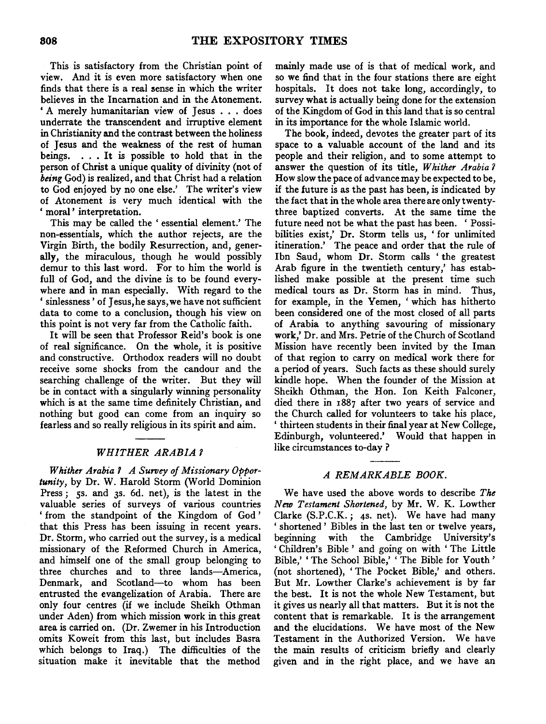This is satisfactory from the Christian point of view. And it is even more satisfactory when one finds that there is a real sense in which the writer believes in the Incarnation and in the Atonement. ' A merely humanitarian view of Jesus . . . does underrate the transcendent and irruptive element in Christianity and the contrast between the holiness of Jesus and the weakness of the rest of human beings. . . . It is possible to hold that in the person of Christ a unique quality of divinity (not of *being* God) is realized, and that Christ had a relation to God enjoyed by no one else.' The writer's view of Atonement is very much identical with the ' moral' interpretation.

This may be called the ' essential element.' The non-essentials, which the author rejects, are the Virgin Birth, the bodily Resurrection, and, generally, the miraculous, though he would possibly demur to this last word. For to him the world is full of God, and the divine is to be found everywhere and in man especially. With regard to the ' sinlessness' of Jesus, he says, we have not sufficient data to come to a conclusion, though his view on this point is not very far from the Catholic faith.

It will be seen that Professor Reid's book is one of real significance. On the whole, it is positive and constructive. Orthodox readers will no doubt receive some shocks from the candour and the searching challenge of the writer. But they will be in contact with a singularly winning personality which is at the same time definitely Christian, and nothing but good can come from an inquiry so fearless and so really religious in its spirit and aim.

#### *WHITHER ARABIA 7*

*Whither Arabia 7 A Survey of Missionary Opportunity,* by Dr. W. Harold Storm (World Dominion Press; 5s. and 3s. 6d. net), is the latest in the valuable series of surveys of various countries ' from the standpoint of the Kingdom of God ' that this Press has been issuing in recent years. Dr. Storm, who carried out the survey, is a medical missionary of the Reformed Church in America, and himself one of the small group belonging to three churches and to three lands-America, Denmark, and Scotland-to whom has been entrusted the evangelization of Arabia. There are only four centres (if we include Sheikh Othman under Aden) from which mission work in this great area is carried on. (Dr. Zwemer in his Introduction omits Koweit from this last, but includes Basra which belongs to Iraq.) The difficulties of the situation make it inevitable that the method

mainly made use of is that of medical work, and so we find that in the four stations there are eight hospitals. It does not take long, accordingly, to survey what is actually being done for the extension of the Kingdom of God in this land that is so central in its importance for the whole Islamic world.

The book, indeed, devotes the greater part of its space to a valuable account of the land and its people and their religion, and to some attempt to answer the question of its title, *Whither Arabia 7*  How slow the pace of advance may be expected to be, if the future is as the past has been, is indicated by the fact that in the whole area there are only twentythree baptized converts. At the same time the future need not be what the past has been. ' Possibilities exist,' Dr. Storm tells us, ' for unlimited itineration.' The peace and order that the rule of Ibn Saud, whom Dr. Storm calls 'the greatest Arab figure in the twentieth century,' has established make possible at the present time such medical tours as Dr. Storm has in mind. Thus, for example, in the Yemen, 'which has hitherto been considered one of the most closed of all parts of Arabia to anything savouring of missionary work,' Dr. and Mrs. Petrie of the Church of Scotland Mission have recently been invited by the Iman of that region to carry on medical work there for a period of years. Such facts as these should surely kindle hope. When the founder of the Mission at Sheikh Othman, the Hon. Ion Keith Falconer, died there in 1887 after two years of service and the Church called for volunteers to take his place, ' thirteen students in their final year at New College, Edinburgh, volunteered.' Would that happen in like circumstances to-day?

#### *A REMARKABLE BOOK.*

We have used the above words to describe *The New Testament Shortened,* by Mr. W. K. Lowther Clarke (S.P.C.K.; 4s. net). We have had many ' shortened ' Bibles in the last ten or twelve years, beginning with the Cambridge University's ' Children's Bible ' and going on with ' The Little Bible,' 'The School Bible,' 'The Bible for Youth' (not shortened), ' The Pocket Bible,' and others. But Mr. Lowther Clarke's achievement is by far the best. It is not the whole New Testament, but it gives us nearly all that matters. But it is not the content that is remarkable. It is the arrangement and the elucidations. We have most of the New Testament in the Authorized Version. We have the main results of criticism briefly and clearly given and in the right place, and we have an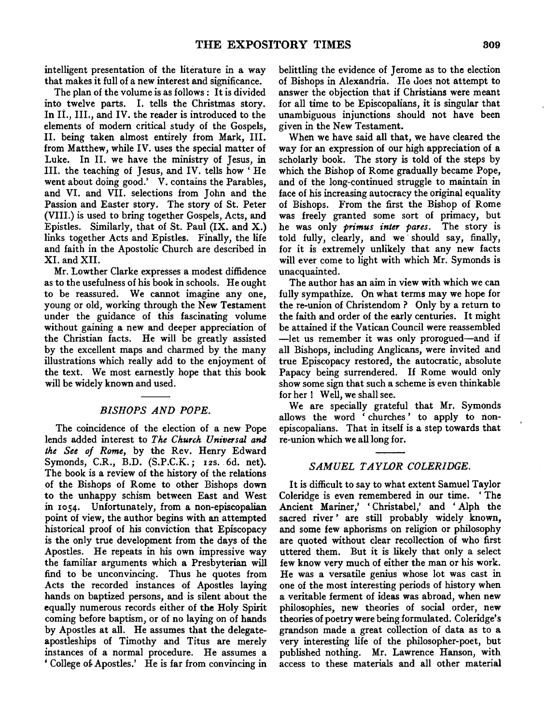intelligent presentation of the literature in a way that makes it full of a new interest and significance.

The plan of the volume is as follows : It is divided into twelve parts. I. tells the Christmas story. In II., III., and IV. the reader is introduced to the elements of modem critical study of the Gospels, II. being taken almost entirely from Mark, Ill. from Matthew, while IV. uses the special matter of Luke. In II. we have the ministry of Jesus, in Ill. the teaching of Jesus, and IV. tells how ' He went about doing good.' V. contains the Parables, and VI. and VII. selections from John and the Passion and Easter story. The story of St. Peter (VIII.) is used to bring together Gospels, Acts, and Epistles. Similarly, that of St. Paul (IX. and X.) links together Acts and Epistles. Finally, the life and faith in the Apostolic Church are described in XI. and XII.

Mr. Lowther Clarke expresses a modest diffidence as to the usefulness of his book in schools. He ought to be reassured. We cannot imagine any one, young or old, working through the New Testament under the guidance of this fascinating volume without gaining a new and deeper appreciation of the Christian facts. He will be greatly assisted by the excellent maps and charmed by the many illustrations which really add to the enjoyment of the text. We most earnestly hope that this book will be widely known and used.

#### *BISHOPS AND POPE.*

The coincidence of the election of a new Pope lends added interest to *The Church Universal and the See of Rome,* by the Rev. Henry Edward Symonds, C.R., B.D. (S.P.C.K.; 12s. 6d. net). The book is a review of the history of the relations of the Bishops of Rome to other Bishops down to the unhappy schism between East and West in 1054. Unfortunately, from a non-episcopalian point of view, the author begins with an attempted historical proof of his conviction that Episcopacy is the only true development from the days of the Apostles. He repeats in his own impressive way the familiar arguments which a Presbyterian will find to be unconvincing. Thus he quotes from Acts the recorded instances of Apostles laying hands on baptized persons, and is silent about the equally numerous records either of the Holy Spirit coming before baptism, or of no laying on of hands by Apostles at all. He assumes that the delegateapostleships of Timothy and Titus are merely instances of a normal procedure. He assumes a ' College of Apostles.' He is far from convincing in belittling the evidence of Jerome as to the election of Bishops in Alexandria. He does not attempt to answer the objection that if Christians were meant for all time to be Episcopalians, it is singular that unambiguous injunctions should not have been given in the New Testament.

When we have said all that, we have cleared the way for an expression of our high appreciation of a scholarly book. The story is told of the steps by which the Bishop of Rome gradually became Pope, and of the long-continued struggle to maintain in face of his increasing autocracy the original equality of Bishops. From the first the Bishop of Rome was freely granted some sort of primacy, but he was only *primus inter pares.* The story is told fully, clearly, and we should say, finally, for it is extremely unlikely that any new facts will ever come to light with which Mr. Symonds is unacquainted.

The author has an aim in view with which we can fully sympathize. On what terms may we hope for the re-union of Christendom ? Only by a return to the faith and order of the early centuries. It might be attained if the Vatican Council were reassembled -let us remember it was only prorogued-and if all Bishops, including Anglicans, were invited and true Episcopacy restored, the autocratic, absolute Papacy being surrendered. If Rome would only show some sign that such a scheme is even thinkable for her ! Well, we shall see.

We are specially grateful that Mr. Symonds allows the word ' churches' to apply to nonepiscopalians. That in itself is a step towards that re-union which we all long for.

#### *SAMUEL T AYLOR COLERIDGE.*

It is difficult to say to what extent Samuel Taylor Coleridge is even remembered in our time. ' The Ancient Mariner,' 'Christabel,' and 'Alph the sacred river' are still probably widely known, and some few aphorisms on religion or philosophy are quoted without clear recollection of who first uttered them. But it is likely that only a select few know very much of either the man or his work. He was a versatile genius whose lot was cast in one of the most interesting periods of history when a veritable ferment of ideas was abroad, when new philosophies, new theories of social order, new theories of poetry were being formulated. Coleridge's grandson made a great collection of data as to a very interesting life of the philosopher-poet, but published nothing. Mr. Lawrence Hanson, with access to these materials and all other material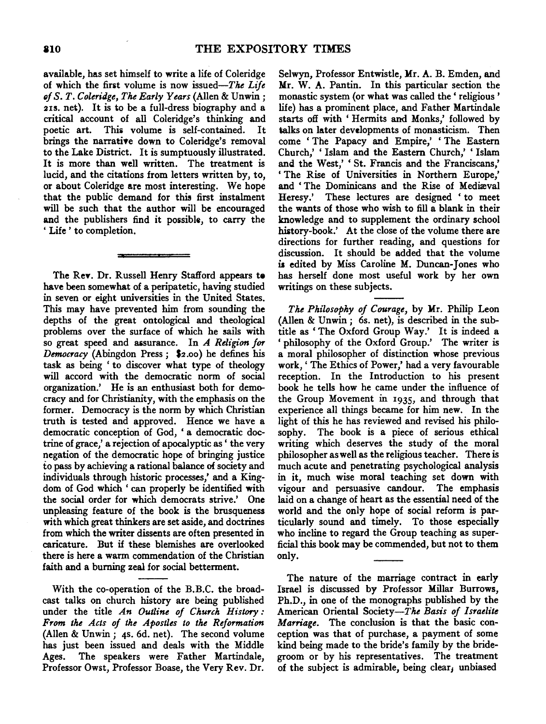available, has set himself to write a life of Coleridge of which the first volume is now issued-The *Life*  ~f *S. T. Coleridge, The Early Years* (Alien & Unwin; 2IS. net). It is to be a full-dress biography and a critical account of all Coleridge's thinking and poetic art. This volume is self-contained. It brings the narrative down to Coleridge's removal to the Lake District. It is sumptuously illustrated. It is more than well written. The treatment is lucid, and the citations from letters written by, to, or about Coleridge are most interesting. We hope that the public demand for this first instalment will be such that the author will be encouraged and the publishers find it possible, to carry the ' Life ' to completion.

The ReY. Dr. Russell Henry Stafford appears te have been somewhat of a peripatetic, having studied in seven or eight universities in the United States. This may have prevented him from sounding the depths of the great ontological and theological problems over the surface of which he sails with so great speed and aisurance. In *A Religion for Democracy* (Abingdon Press ; \$2.00) he defines his task as being ' to discover what type of theology will accord with the democratic norm of social organization.' He is an enthusiast both for democracy and for Christianity, with the emphasis on the former. Democracy is the norm by which Christian truth is tested and approved. Hence we have a democratic conception of God, 'a democratic doctrine of grace,' a rejection of apocalyptic as' the very negation of the democratic hope of bringing justice *io* pass by achieving a rational balance of society and individuals through historic processes,' and a Kingdom of God which ' can properly be identified with the social order for which democrats strive.' One unpleasing feature of the book is the brusqueness with which great thinkers are set aside, and doctrines from which the writer dissents are often presented in caricature. But if these blemishes are overlooked there is here a warm commendation of the Christian faith and a burning zeal for social betterment.

With the co-operation of the B.B.C. the broadcast talks on church history are being published under the title *An Outline of Church History : From the Acts of the Apostles to the Reformation*  (Alien & Unwin; 4s. 6d. net). The second volume has just been issued and deals with the Middle Ages. The speakers were Father Martindale, Professor Owst, Professor Boase, the Very Rev. Dr.

Selwyn, Professor Entwistle, Mr. A. B. Emden, and Mr. W. A. Pantin. In this particular section the monastic system (or what was called the' religious' life) has a prominent place, and Father Martindale starts off with 'Hermits and Monks,' followed by talks on later developments of monasticism. Then come ' The Papacy and Empire,' ' The Eastern Church,' ' Islam and the Eastern Church,' ' Islam and the West,' 'St. Francis and the Franciscans,' 'The Rise of Universities in Northern Europe,' and 'The Dominicans and the Rise of Mediaval Heresy.' These lectures are designed 'to meet the wants of those who wish to fill a blank in their knowledge and to supplement the ordinary school history-book.' At the close of the volume there are directions for further reading, and questions for discussion. It should be added that the volume is edited by Miss Caroline M. Duncan-Jones who has herself done most useful work by her own writings on these subjects.

*The Philosophy of Courage,* by Mr. Philip Leon (Alien & Unwin; 6s. net), is described in the subtitle as 'The Oxford Group Way.' It is indeed a philosophy of the Oxford Group.' The writer is a moral philosopher of distinction whose previous work, ' The Ethics of Power,' had a very favourable reception. In the Introduction to his present book he tells how he came under the influence of the Group Movement in 1935, and through that experience all things became for him new. In the light of this he has reviewed and revised his philosophy. The book is a piece of serious ethical writing which deserves the study of the moral philosopher as well as the religious teacher. There is much acute and penetrating psychological analysis in it, much wise moral teaching set down with vigour and persuasive candour. The emphasis laid on a change of heart as the essential need of the world and the only hope of social reform is particularly sound and timely. To those especially who incline to regard the Group teaching as superficial this book may be commended, but not to them only.

The nature of the marriage contract in early Israel is discussed by Professor Millar Burrows, Ph.D., in one of the monographs published by the American Oriental Society-The *Basis of Israelite Marriage.* The conclusion is that the basic conception was that of purchase, a payment of some kind being made to the bride's family by the bridegroom or by his representatives. The treatment of the subject is admirable, being clear, unbiased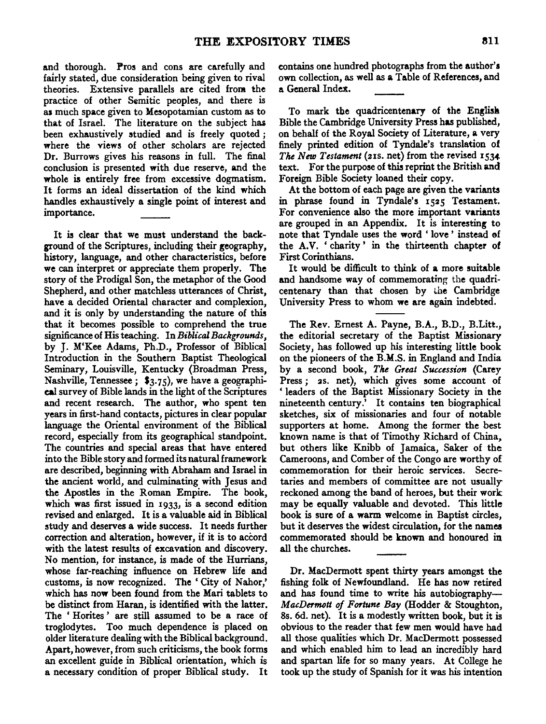and thorough. Pros and cons are carefully and fairly stated, due consideration being given to rival theories. Extensive parallels are cited from the practice of other Semitic peoples, and there is as much space given to Mesopotamian custom as to that of Israel. The literature on the subject has been exhaustively studied and is freely quoted ; where the views of other scholars are rejected Dr. Burrows gives his reasons in full. The final conclusion is presented with due reserve, and the whole is entirely free from excessive dogmatism. It forms an ideal dissertation of the kind which handles exhaustively a single point of interest and importance.

It is clear that we must understand the background of the Scriptures, including their geography, history, language, and other characteristics, before we can interpret or appreciate them properly. The story of the Prodigal Son, the metaphor of the Good Shepherd, and other matchless utterances of Christ, have a decided Oriental character and complexion, and it is only by understanding the nature of this that it becomes possible to comprehend the true significance of His teaching. In *Biblical Backgrounds*, by J. M'Kee Adams, Ph.D., Professor of Biblical Introduction in the Southern Baptist Theological Seminary, Louisville, Kentucky (Broadman Press, Nashville, Tennessee; \$3.75}, we have a geographical survey of Bible lands in the light of the Scriptures and recent research. The author, who spent ten years in first-hand contacts, pictures in clear popular language the Oriental environment of the Biblical record, especially from its geographical standpoint. The countries and special areas that have entered into the Bible story and formed its natural framework are described, beginning with Abraham and Israel in the ancient world, and culminating with Jesus and the Apostles in the Roman Empire. The book, which was first issued in 1933, is a second edition revised and enlarged. It is a valuable aid in Biblical study and deserves a wide success. It needs further correction and alteration, however, if it is to accord with the latest results of excavation and discovery. No mention, for instance, is made of the Hurrians, whose far-reaching influence on Hebrew life and customs, is now recognized. The 'City of Nahor,' which has now been found from the Mari tablets to be distinct from Haran, is identified with the latter. The ' Horites ' are still assumed to be a race of troglodytes. Too much dependence is placed on older literature dealing with the Biblical background. Apart, however, from such criticisms, the book forms an excellent guide in Biblical orientation, which is a necessary condition of proper Biblical study. It contains one hundred photographs from the author's own collection, as well as a Table of References, and a General Index.

To mark the quadricentenary of the English Bible the Cambridge University Press has published, on behalf of the Royal Society of Literature, a very finely printed edition of Tyndale's translation of *The New Testament* (21s. net) from the revised 1534 text. For the purpose of this reprint the British and Foreign Bible Society loaned their copy.

At the bottom of each page are given the variants in phrase found in Tyndale's 1525 Testament. For convenience also the more important variants are grouped in an Appendix. It is interesting to note that Tyndale uses the word ' love ' instead of the A.V. 'charity' in the thirteenth chapter of First Corinthians.

It would be difficult to think of a more suitable and handsome way of commemorating the quadricentenary than that chosen by the Cambridge University Press to whom we are again indebted.

The Rev. Emest A. Payne, B.A., B.D., B.Litt., the editorial secretary of the Baptist Missionary Society, has followed up his interesting little book on the pioneers of the B.M.S. in England and India by a second book, *The Great Succession* (Carey Press ; 2s. net}, which gives some account of ' leaders of the Baptist Missionary Society in the nineteenth century.' It contains ten biographical sketches, six of missionaries and four of notable supporters at home. Among the former the best known name is that of Timothy Richard of China, but others like Knibb of Jamaica, Saker of the Cameroons, and Comber of the Congo are worthy of commemoration for their heroic services. Secretaries and members of committee are not usuallyreckoned among the band of heroes, but their work may be equally valuable and devoted. This little book is sure of a warm welcome in Baptist circles, but it deserves the widest circulation, for the names commemorated should be known and honoured in all the churches.

Dr. MacDermott spent thirty years amongst the fishing folk of Newfoundland. He has now retired and has found time to write his autobiography-*MacDermott of FOt'tune Bay* (Hodder & Stoughton, 8s. 6d. net). It is a modestly written book, but it is obvious to the reader that few men would have had all those qualities which Dr. MacDermott possessed and which enabled him to lead an incredibly hard and spartan life for so many years. At College he took up the study of Spanish for it was his intention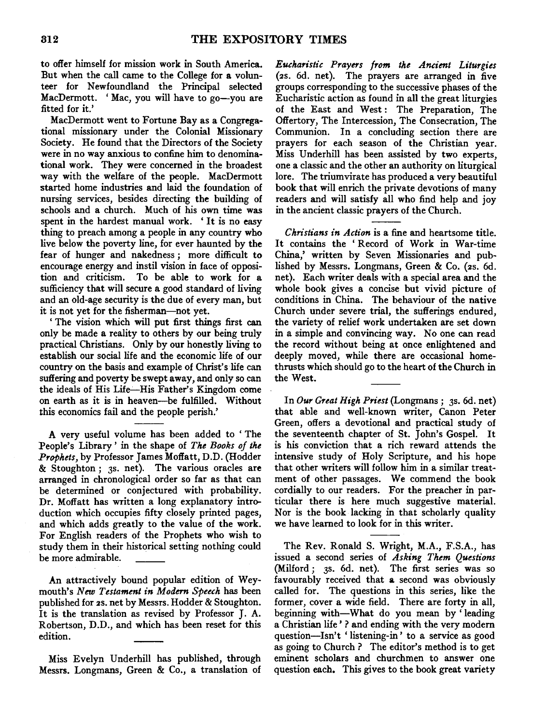to offer himself for mission work in South America. But when the call came to the College for a volunteer for Newfoundland the Principal selected MacDermott. 'Mac, you will have to go-you are fitted for it.'

MacDermott went to Fortune Bay as a Congregational missionary under the Colonial Missionary Society. He found that the Directors of the Society were in no way anxious to confine him to denominational work. They were concerned in the broadest way with the welfare of the people. MacDermott started home industries and laid the foundation of nursing services, besides directing the building of schools and a church. Much of his own time was spent in the hardest manual work. ' It is no easy thing to preach among a people in any country who live below the poverty line, for ever haunted by the fear of hunger and nakedness ; more difficult to encourage energy and instil vision in face of opposition and criticism. To be able to work for a sufficiency that will secure a good standard of living and an old-age security is the due of every man, but it is not yet for the fisherman-not yet.

' The vision which will put first things first can only be made a reality to others by our being truly practical Christians. Only by our honestly living to establish our social life and the economic life of our country on the basis and example of Christ's life can suffering and poverty be swept away, and only so can the ideals of His Life-His Father's Kingdom come on earth as it is in heaven-be fulfilled. Without this economics fail and the people perish.'

A very useful volume has been added to ' The People's Library' in the shape of *The Books of the Prophets,* by Professor James Moffatt, D.D. (Hodder & Stoughton; 3s. net). The various oracles are arranged in chronological order so far as that can be determined or conjectured with probability. Dr. Moffatt has written a long explanatory introduction which occupies fifty closely printed pages, and which adds greatly to the value of the work. For English readers of the Prophets who wish to study them in their historical setting nothing could be more admirable.

An attractively bound popular edition of Weymouth's *New Testament in Modern Speech* has been published for 2s. net by Messrs. Hodder & Stoughton. It is the translation as revised by Professor J. A. Robertson, D.D., and which has been reset for this edition.

Miss Evelyn Underhill has published, through Messrs. Longmans, Green & Co., a translation of

*Eucharistic Prayers from the Ancient Liturgies*  (2s. 6d. net). The prayers are arranged in five groups corresponding to the successive phases of the Eucharistic action as found in all the great liturgies of the East and West: The Preparation, The Offertory, The Intercession, The Consecration, The Communion. In a concluding section there are prayers for each season of the Christian year. Miss Underhill has been assisted by two experts, one a classic and the other an authority on liturgical lore. The triumvirate has produced a very beautiful book that will enrich the private devotions of many readers and will satisfy all who find help and joy in the ancient classic prayers of the Church.

*Christians in Action* is a fine and heartsome title. It contains the 'Record of Work in War-time China,' written by Seven Missionaries and published by Messrs. Longmans, Green & Co. (2s. 6d. net). Each writer deals with a special area and the whole book gives a concise but vivid picture of conditions in China. The behaviour of the native Church under severe trial, the sufferings endured, the variety of relief work undertaken are set down in a simple and convincing way. No one can read the record without being at once enlightened and deeply moved, while there are occasional homethrusts which should go to the heart of the Church in the West.

In *Our Great High Priest* (Longmans; 3s. 6d. net) that able and well-known writer, Canon Peter Green, offers a devotional and practical study of the seventeenth chapter of St. John's Gospel. It is his conviction that a rich reward attends the intensive study of Holy Scripture, and his hope that other writers will follow him in a similar treatment of other passages. We commend the book cordially to our readers. For the preacher in particular there is here much suggestive material. Nor is the book lacking in that scholarly quality we have learned to look for in this writer.

The Rev. Ronald S. Wright, M.A., F.S.A., has issued a second series of *Asking Them Questions*  (Milford; 3s. 6d. net). The first series was so favourably received that a second was obviously called for. The questions in this series, like the former, cover a wide field. There are forty in all, beginning with-What do you mean by ' leading a Christian life ' ? and ending with the very modem question-Isn't 'listening-in' to a service as good as going to Church? The editor's method is to get eminent scholars and churchmen to answer one question each. This gives to the book great variety